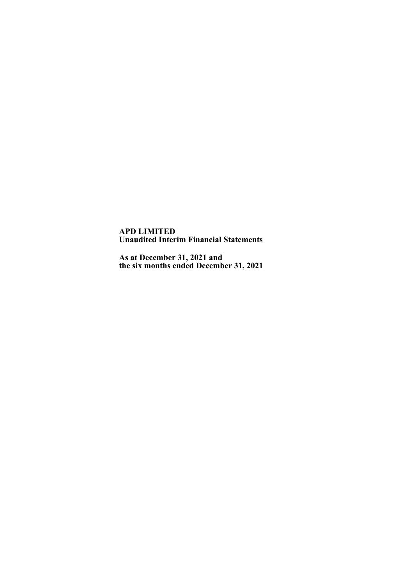**APD LIMITED Unaudited Interim Financial Statements**

**As at December 31, 2021 and the six months ended December 31, 2021**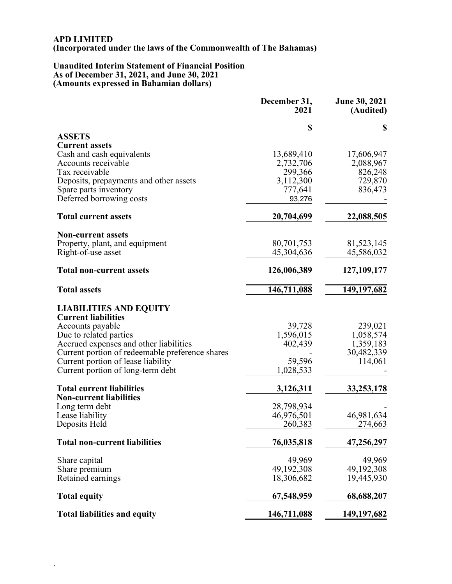## **APD LIMITED (Incorporated under the laws of the Commonwealth of The Bahamas)**

### **Unaudited Interim Statement of Financial Position As of December 31, 2021, and June 30, 2021 (Amounts expressed in Bahamian dollars)**

.

|                                                 | December 31,<br>2021     | <b>June 30, 2021</b><br>(Audited) |
|-------------------------------------------------|--------------------------|-----------------------------------|
|                                                 | \$                       | \$                                |
| <b>ASSETS</b>                                   |                          |                                   |
| <b>Current assets</b>                           |                          |                                   |
| Cash and cash equivalents                       | 13,689,410               | 17,606,947                        |
| Accounts receivable<br>Tax receivable           | 2,732,706<br>299,366     | 2,088,967<br>826,248              |
| Deposits, prepayments and other assets          | 3,112,300                | 729,870                           |
| Spare parts inventory                           | 777,641                  | 836,473                           |
| Deferred borrowing costs                        | 93,276                   |                                   |
| <b>Total current assets</b>                     | 20,704,699               | 22,088,505                        |
| <b>Non-current assets</b>                       |                          |                                   |
| Property, plant, and equipment                  | 80,701,753               | 81,523,145                        |
| Right-of-use asset                              | 45,304,636               | 45,586,032                        |
| <b>Total non-current assets</b>                 | 126,006,389              | 127, 109, 177                     |
| <b>Total assets</b>                             | 146,711,088              | 149, 197, 682                     |
| <b>LIABILITIES AND EQUITY</b>                   |                          |                                   |
| <b>Current liabilities</b>                      |                          |                                   |
| Accounts payable                                | 39,728                   | 239,021                           |
| Due to related parties                          | 1,596,015                | 1,058,574                         |
| Accrued expenses and other liabilities          | 402,439                  | 1,359,183                         |
| Current portion of redeemable preference shares |                          | 30,482,339                        |
| Current portion of lease liability              | 59,596                   | 114,061                           |
| Current portion of long-term debt               | 1,028,533                |                                   |
| <b>Total current liabilities</b>                | 3,126,311                | 33, 253, 178                      |
| <b>Non-current liabilities</b>                  |                          |                                   |
| Long term debt<br>Lease liability               | 28,798,934<br>46,976,501 | 46,981,634                        |
| Deposits Held                                   | 260,383                  | 274,663                           |
|                                                 |                          |                                   |
| <b>Total non-current liabilities</b>            | 76,035,818               | 47,256,297                        |
| Share capital                                   | 49,969                   | 49,969                            |
| Share premium                                   | 49,192,308               | 49,192,308                        |
| Retained earnings                               | 18,306,682               | 19,445,930                        |
| <b>Total equity</b>                             | 67,548,959               | 68,688,207                        |
| <b>Total liabilities and equity</b>             | 146,711,088              | 149, 197, 682                     |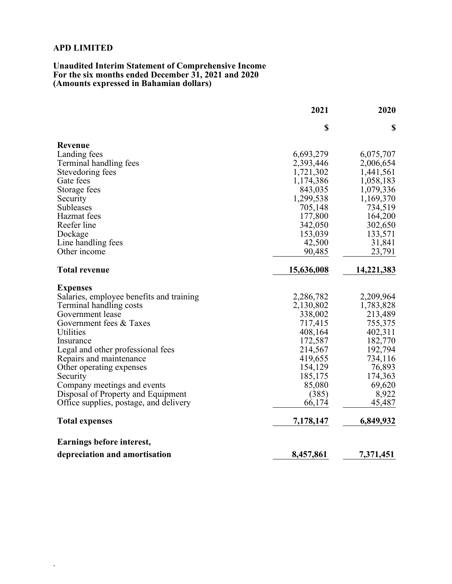.

#### **Unaudited Interim Statement of Comprehensive Income For the six months ended December 31, 2021 and 2020 (Amounts expressed in Bahamian dollars)**

|                                          | 2021       | 2020       |
|------------------------------------------|------------|------------|
|                                          | \$         | \$         |
| Revenue                                  |            |            |
| Landing fees                             | 6,693,279  | 6,075,707  |
| Terminal handling fees                   | 2,393,446  | 2,006,654  |
| Stevedoring fees                         | 1,721,302  | 1,441,561  |
| Gate fees                                | 1,174,386  | 1,058,183  |
| Storage fees                             | 843,035    | 1,079,336  |
| Security                                 | 1,299,538  | 1,169,370  |
| <b>Subleases</b>                         | 705,148    | 734,519    |
| Hazmat fees                              | 177,800    | 164,200    |
| Reefer line                              | 342,050    | 302,650    |
| Dockage                                  | 153,039    | 133,571    |
| Line handling fees                       | 42,500     | 31,841     |
| Other income                             | 90,485     | 23,791     |
| <b>Total revenue</b>                     | 15,636,008 | 14,221,383 |
| <b>Expenses</b>                          |            |            |
| Salaries, employee benefits and training | 2,286,782  | 2,209,964  |
| Terminal handling costs                  | 2,130,802  | 1,783,828  |
| Government lease                         | 338,002    | 213,489    |
| Government fees & Taxes                  | 717,415    | 755,375    |
| Utilities                                | 408,164    | 402,311    |
| Insurance                                | 172,587    | 182,770    |
| Legal and other professional fees        | 214,567    | 192,794    |
| Repairs and maintenance                  | 419,655    | 734,116    |
| Other operating expenses                 | 154,129    | 76,893     |
| Security                                 | 185,175    | 174,363    |
| Company meetings and events              | 85,080     | 69,620     |
| Disposal of Property and Equipment       | (385)      | 8,922      |
| Office supplies, postage, and delivery   | 66,174     | 45,487     |
| <b>Total expenses</b>                    | 7,178,147  | 6,849,932  |
| Earnings before interest,                |            |            |
| depreciation and amortisation            | 8,457,861  | 7,371,451  |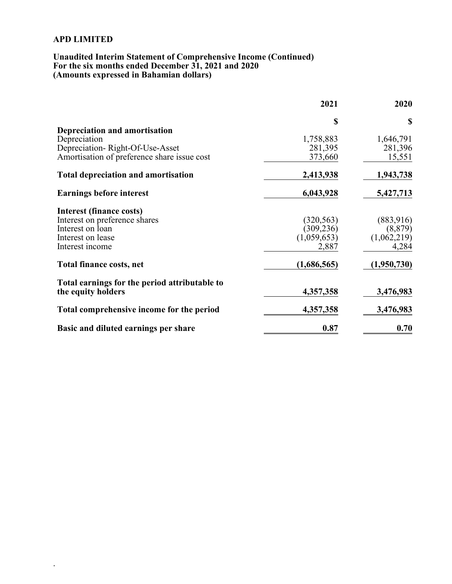.

### **Unaudited Interim Statement of Comprehensive Income (Continued) For the six months ended December 31, 2021 and 2020 (Amounts expressed in Bahamian dollars)**

|                                               | 2021        | 2020        |
|-----------------------------------------------|-------------|-------------|
|                                               | \$          | <b>S</b>    |
| Depreciation and amortisation                 |             |             |
| Depreciation                                  | 1,758,883   | 1,646,791   |
| Depreciation-Right-Of-Use-Asset               | 281,395     | 281,396     |
| Amortisation of preference share issue cost   | 373,660     | 15,551      |
| <b>Total depreciation and amortisation</b>    | 2,413,938   | 1,943,738   |
| <b>Earnings before interest</b>               | 6,043,928   | 5,427,713   |
| <b>Interest (finance costs)</b>               |             |             |
| Interest on preference shares                 | (320, 563)  | (883,916)   |
| Interest on loan                              | (309, 236)  | (8, 879)    |
| Interest on lease                             | (1,059,653) | (1,062,219) |
| Interest income                               | 2,887       | 4,284       |
| Total finance costs, net                      | (1,686,565) | (1,950,730) |
| Total earnings for the period attributable to |             |             |
| the equity holders                            | 4,357,358   | 3,476,983   |
| Total comprehensive income for the period     | 4,357,358   | 3,476,983   |
| Basic and diluted earnings per share          | 0.87        | 0.70        |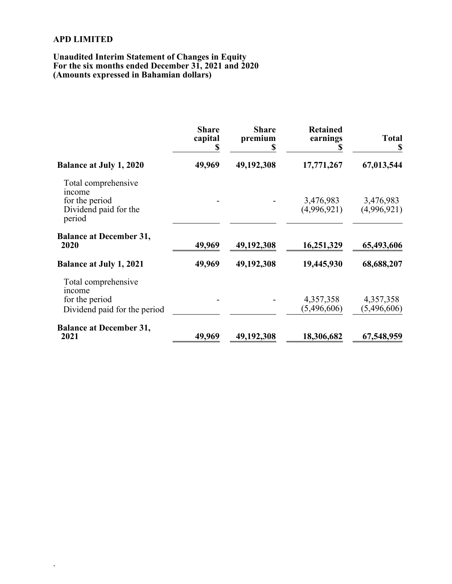.

### **Unaudited Interim Statement of Changes in Equity For the six months ended December 31, 2021 and 2020 (Amounts expressed in Bahamian dollars)**

|                                                                                    | <b>Share</b><br>capital<br>S | <b>Share</b><br>premium | <b>Retained</b><br>earnings | <b>Total</b><br>S        |
|------------------------------------------------------------------------------------|------------------------------|-------------------------|-----------------------------|--------------------------|
| <b>Balance at July 1, 2020</b>                                                     | 49,969                       | 49,192,308              | 17,771,267                  | 67,013,544               |
| Total comprehensive<br>income<br>for the period<br>Dividend paid for the<br>period |                              |                         | 3,476,983<br>(4,996,921)    | 3,476,983<br>(4,996,921) |
| <b>Balance at December 31,</b><br>2020                                             | 49,969                       | 49,192,308              | 16,251,329                  | 65,493,606               |
| <b>Balance at July 1, 2021</b>                                                     | 49,969                       | 49,192,308              | 19,445,930                  | 68,688,207               |
| Total comprehensive<br>income<br>for the period<br>Dividend paid for the period    |                              |                         | 4,357,358<br>(5,496,606)    | 4,357,358<br>(5,496,606) |
| <b>Balance at December 31,</b><br>2021                                             | 49,969                       | 49,192,308              | 18,306,682                  | 67,548,959               |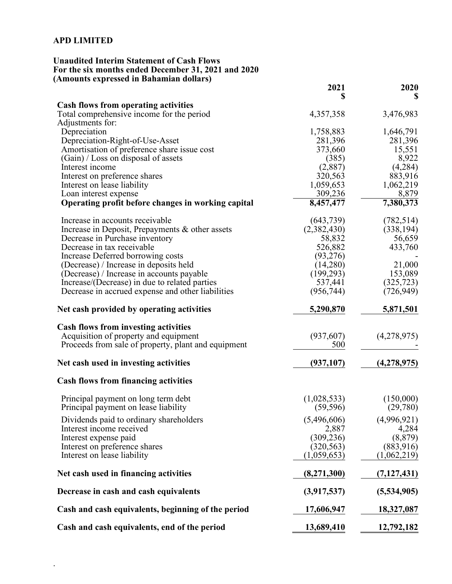.

## **Unaudited Interim Statement of Cash Flows For the six months ended December 31, 2021 and 2020 (Amounts expressed in Bahamian dollars)**

|                                                     | 2021        | 2020          |
|-----------------------------------------------------|-------------|---------------|
| <b>Cash flows from operating activities</b>         |             |               |
| Total comprehensive income for the period           | 4,357,358   | 3,476,983     |
| Adjustments for:                                    |             |               |
| Depreciation                                        | 1,758,883   | 1,646,791     |
| Depreciation-Right-of-Use-Asset                     | 281,396     | 281,396       |
| Amortisation of preference share issue cost         | 373,660     | 15,551        |
| (Gain) / Loss on disposal of assets                 | (385)       | 8,922         |
| Interest income                                     | (2,887)     | (4,284)       |
| Interest on preference shares                       | 320,563     | 883,916       |
| Interest on lease liability                         | 1,059,653   | 1,062,219     |
| Loan interest expense                               | 309,236     | 8,879         |
| Operating profit before changes in working capital  | 8,457,477   | 7,380,373     |
| Increase in accounts receivable                     | (643, 739)  | (782, 514)    |
| Increase in Deposit, Prepayments & other assets     | (2,382,430) | (338, 194)    |
| Decrease in Purchase inventory                      | 58,832      | 56,659        |
| Decrease in tax receivable                          | 526,882     | 433,760       |
| Increase Deferred borrowing costs                   | (93, 276)   |               |
| (Decrease) / Increase in deposits held              | (14,280)    | 21,000        |
| (Decrease) / Increase in accounts payable           | (199, 293)  | 153,089       |
| Increase/(Decrease) in due to related parties       | 537,441     | (325, 723)    |
| Decrease in accrued expense and other liabilities   | (956, 744)  | (726, 949)    |
| Net cash provided by operating activities           | 5,290,870   | 5,871,501     |
| <b>Cash flows from investing activities</b>         |             |               |
| Acquisition of property and equipment               | (937, 607)  | (4,278,975)   |
| Proceeds from sale of property, plant and equipment | 500         |               |
| Net cash used in investing activities               | (937, 107)  | (4, 278, 975) |
| <b>Cash flows from financing activities</b>         |             |               |
| Principal payment on long term debt                 | (1,028,533) | (150,000)     |
| Principal payment on lease liability                | (59, 596)   | (29,780)      |
| Dividends paid to ordinary shareholders             | (5,496,606) | (4,996,921)   |
| Interest income received                            | 2,887       | 4,284         |
| Interest expense paid                               | (309, 236)  | (8, 879)      |
| Interest on preference shares                       | (320, 563)  | (883,916)     |
| Interest on lease liability                         | (1,059,653) | (1,062,219)   |
| Net cash used in financing activities               | (8,271,300) | (7,127,431)   |
| Decrease in cash and cash equivalents               | (3,917,537) | (5,534,905)   |
| Cash and cash equivalents, beginning of the period  | 17,606,947  | 18,327,087    |
| Cash and cash equivalents, end of the period        | 13,689,410  | 12,792,182    |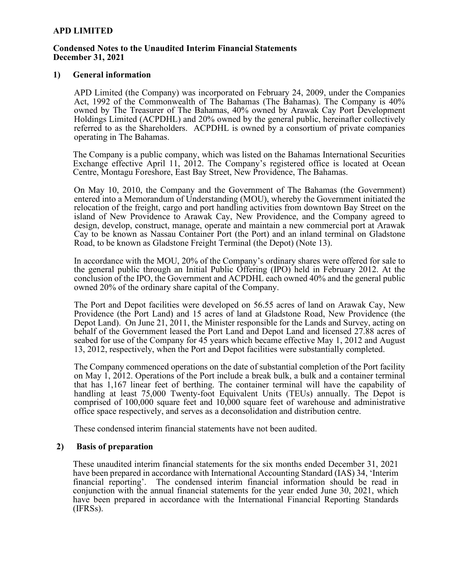### **Condensed Notes to the Unaudited Interim Financial Statements December 31, 2021**

### **1) General information**

APD Limited (the Company) was incorporated on February 24, 2009, under the Companies Act, 1992 of the Commonwealth of The Bahamas (The Bahamas). The Company is 40% owned by The Treasurer of The Bahamas, 40% owned by Arawak Cay Port Development Holdings Limited (ACPDHL) and 20% owned by the general public, hereinafter collectively referred to as the Shareholders. ACPDHL is owned by a consortium of private companies operating in The Bahamas.

The Company is a public company, which was listed on the Bahamas International Securities Exchange effective April 11, 2012. The Company's registered office is located at Ocean Centre, Montagu Foreshore, East Bay Street, New Providence, The Bahamas.

On May 10, 2010, the Company and the Government of The Bahamas (the Government) entered into a Memorandum of Understanding (MOU), whereby the Government initiated the relocation of the freight, cargo and port handling activities from downtown Bay Street on the island of New Providence to Arawak Cay, New Providence, and the Company agreed to design, develop, construct, manage, operate and maintain a new commercial port at Arawak Cay to be known as Nassau Container Port (the Port) and an inland terminal on Gladstone Road, to be known as Gladstone Freight Terminal (the Depot) (Note 13).

In accordance with the MOU, 20% of the Company's ordinary shares were offered for sale to the general public through an Initial Public Offering (IPO) held in February 2012. At the conclusion of the IPO, the Government and ACPDHL each owned 40% and the general public owned 20% of the ordinary share capital of the Company.

The Port and Depot facilities were developed on 56.55 acres of land on Arawak Cay, New Providence (the Port Land) and 15 acres of land at Gladstone Road, New Providence (the Depot Land). On June 21, 2011, the Minister responsible for the Lands and Survey, acting on behalf of the Government leased the Port Land and Depot Land and licensed 27.88 acres of seabed for use of the Company for 45 years which became effective May 1, 2012 and August 13, 2012, respectively, when the Port and Depot facilities were substantially completed.

The Company commenced operations on the date of substantial completion of the Port facility on May 1, 2012. Operations of the Port include a break bulk, a bulk and a container terminal that has 1,167 linear feet of berthing. The container terminal will have the capability of handling at least 75,000 Twenty-foot Equivalent Units (TEUs) annually. The Depot is comprised of 100,000 square feet and 10,000 square feet of warehouse and administrative office space respectively, and serves as a deconsolidation and distribution centre.

These condensed interim financial statements have not been audited.

### **2) Basis of preparation**

These unaudited interim financial statements for the six months ended December 31, 2021 have been prepared in accordance with International Accounting Standard (IAS) 34, 'Interim financial reporting'. The condensed interim financial information should be read in conjunction with the annual financial statements for the year ended June 30, 2021, which have been prepared in accordance with the International Financial Reporting Standards (IFRSs).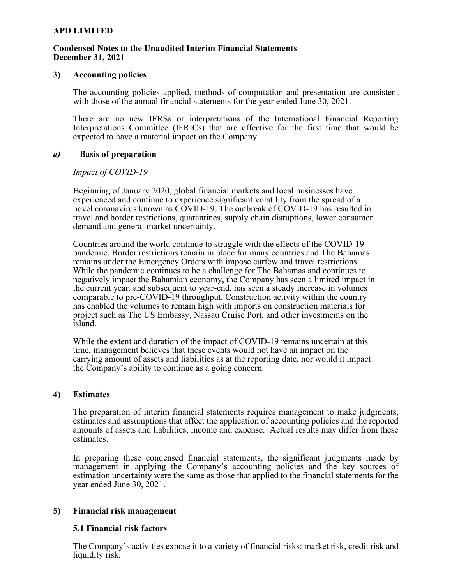### **Condensed Notes to the Unaudited Interim Financial Statements December 31, 2021**

### **3) Accounting policies**

The accounting policies applied, methods of computation and presentation are consistent with those of the annual financial statements for the year ended June 30, 2021.

There are no new IFRSs or interpretations of the International Financial Reporting Interpretations Committee (IFRICs) that are effective for the first time that would be expected to have a material impact on the Company.

### *a)* **Basis of preparation**

### *Impact of COVID-19*

Beginning of January 2020, global financial markets and local businesses have experienced and continue to experience significant volatility from the spread of a novel coronavirus known as COVID-19. The outbreak of COVID-19 has resulted in travel and border restrictions, quarantines, supply chain disruptions, lower consumer demand and general market uncertainty.

Countries around the world continue to struggle with the effects of the COVID-19 pandemic. Border restrictions remain in place for many countries and The Bahamas remains under the Emergency Orders with impose curfew and travel restrictions. While the pandemic continues to be a challenge for The Bahamas and continues to negatively impact the Bahamian economy, the Company has seen a limited impact in the current year, and subsequent to year-end, has seen a steady increase in volumes comparable to pre-COVID-19 throughput. Construction activity within the country has enabled the volumes to remain high with imports on construction materials for project such as The US Embassy, Nassau Cruise Port, and other investments on the island.

While the extent and duration of the impact of COVID-19 remains uncertain at this time, management believes that these events would not have an impact on the carrying amount of assets and liabilities as at the reporting date, nor would it impact the Company's ability to continue as a going concern.

### **4) Estimates**

The preparation of interim financial statements requires management to make judgments, estimates and assumptions that affect the application of accounting policies and the reported amounts of assets and liabilities, income and expense. Actual results may differ from these estimates.

In preparing these condensed financial statements, the significant judgments made by management in applying the Company's accounting policies and the key sources of estimation uncertainty were the same as those that applied to the financial statements for the year ended June 30, 2021.

### **5) Financial risk management**

### **5.1 Financial risk factors**

The Company's activities expose it to a variety of financial risks: market risk, credit risk and liquidity risk.